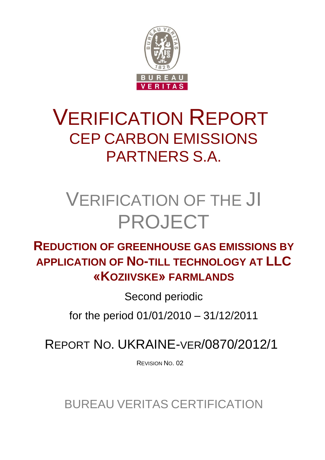

## VERIFICATION REPORT CEP CARBON EMISSIONS PARTNERS S.A.

# VERIFICATION OF THE JI PROJECT

## **REDUCTION OF GREENHOUSE GAS EMISSIONS BY APPLICATION OF NO-TILL TECHNOLOGY AT LLC «KOZIIVSKE» FARMLANDS**

Second periodic

for the period 01/01/2010 – 31/12/2011

REPORT NO. UKRAINE-VER/0870/2012/1

REVISION NO. 02

BUREAU VERITAS CERTIFICATION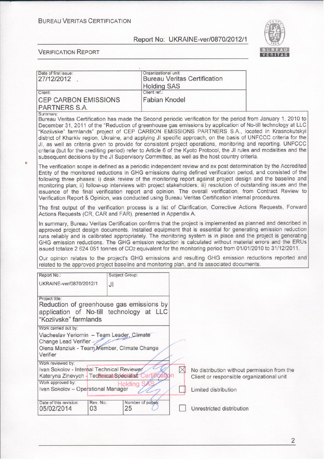

| Date of first issue:<br>27/12/2012                                                                                                                                     |                 | Organizational unit:   |          | <b>Bureau Veritas Certification</b>                                                                  |                                                                                                                                                                                                                                                                                                                                                                                                                                                                                                                                                                                                                                                                                            |
|------------------------------------------------------------------------------------------------------------------------------------------------------------------------|-----------------|------------------------|----------|------------------------------------------------------------------------------------------------------|--------------------------------------------------------------------------------------------------------------------------------------------------------------------------------------------------------------------------------------------------------------------------------------------------------------------------------------------------------------------------------------------------------------------------------------------------------------------------------------------------------------------------------------------------------------------------------------------------------------------------------------------------------------------------------------------|
|                                                                                                                                                                        |                 | <b>Holding SAS</b>     |          |                                                                                                      |                                                                                                                                                                                                                                                                                                                                                                                                                                                                                                                                                                                                                                                                                            |
| Client:                                                                                                                                                                |                 | Client ref.:           |          |                                                                                                      |                                                                                                                                                                                                                                                                                                                                                                                                                                                                                                                                                                                                                                                                                            |
| <b>CEP CARBON EMISSIONS</b>                                                                                                                                            |                 | <b>Fabian Knodel</b>   |          |                                                                                                      |                                                                                                                                                                                                                                                                                                                                                                                                                                                                                                                                                                                                                                                                                            |
| PARTNERS S.A.                                                                                                                                                          |                 |                        |          |                                                                                                      |                                                                                                                                                                                                                                                                                                                                                                                                                                                                                                                                                                                                                                                                                            |
| Summary:                                                                                                                                                               |                 |                        |          | subsequent decisions by the JI Supervisory Committee, as well as the host country criteria.          | Bureau Veritas Certification has made the Second periodic verification for the period from January 1, 2010 to<br>December 31, 2011 of the "Reduction of greenhouse gas emissions by application of No-till technology at LLC<br>"Koziivske" farmlands" project of CEP CARBON EMISSIONS PARTNERS S.A., located in Krasnokutskyi<br>district of Kharkiv region, Ukraine, and applying JI specific approach, on the basis of UNFCCC criteria for the<br>JI, as well as criteria given to provide for consistent project operations, monitoring and reporting. UNFCCC<br>criteria (but for the crediting period) refer to Article 6 of the Kyoto Protocol, the JI rules and modalities and the |
|                                                                                                                                                                        |                 |                        |          | Verification Report & Opinion, was conducted using Bureau Veritas Certification internal procedures. | The verification scope is defined as a periodic independent review and ex post determination by the Accredited<br>Entity of the monitored reductions in GHG emissions during defined verification period, and consisted of the<br>following three phases: i) desk review of the monitoring report against project design and the baseline and<br>monitoring plan; ii) follow-up interviews with project stakeholders; iii) resolution of outstanding issues and the<br>issuance of the final verification report and opinion. The overall verification, from Contract Review to                                                                                                            |
| Actions Requests (CR, CAR and FAR), presented in Appendix A.                                                                                                           |                 |                        |          |                                                                                                      | The first output of the verification process is a list of Clarification, Corrective Actions Requests, Forward                                                                                                                                                                                                                                                                                                                                                                                                                                                                                                                                                                              |
|                                                                                                                                                                        |                 |                        |          |                                                                                                      | In summary, Bureau Veritas Certification confirms that the project is implemented as planned and described in<br>approved project design documents. Installed equipment that is essential for generating emission reduction<br>runs reliably and is calibrated appropriately. The monitoring system is in place and the project is generating<br>GHG emission reductions. The GHG emission reduction is calculated without material errors and the ERUs<br>issued totalize 2 624 051 tonnes of CO2 equivalent for the monitoring period from 01/01/2010 to 31/12/2011.                                                                                                                     |
|                                                                                                                                                                        |                 |                        |          | related to the approved project baseline and monitoring plan, and its associated documents.          | Our opinion relates to the project's GHG emissions and resulting GHG emission reductions reported and                                                                                                                                                                                                                                                                                                                                                                                                                                                                                                                                                                                      |
| Report No.:                                                                                                                                                            | Subject Group:  |                        |          |                                                                                                      |                                                                                                                                                                                                                                                                                                                                                                                                                                                                                                                                                                                                                                                                                            |
| UKRAINE-ver/0870/2012/1                                                                                                                                                | JI              |                        |          |                                                                                                      |                                                                                                                                                                                                                                                                                                                                                                                                                                                                                                                                                                                                                                                                                            |
| Project title:<br>Reduction of greenhouse gas emissions by<br>application of No-till technology at LLC<br>"Koziivske" farmlands                                        |                 |                        |          |                                                                                                      |                                                                                                                                                                                                                                                                                                                                                                                                                                                                                                                                                                                                                                                                                            |
| Work carried out by:<br>Viacheslav Yeriomin - Team Leader, Climate<br>Change Lead Verifier<br>Olena Manziuk - Team Member, Climate Change<br>Verifier                  |                 |                        |          |                                                                                                      |                                                                                                                                                                                                                                                                                                                                                                                                                                                                                                                                                                                                                                                                                            |
| Work reviewed by:<br>Ivan Sokolov - Internal Technical Reviewer<br>Kateryna Zinevych - Technical Specialist<br>Work approved by:<br>Ivan Sokolov - Operational Manager |                 | Holding S              | $\times$ | No distribution without permission from the<br>Client or responsible organizational unit             |                                                                                                                                                                                                                                                                                                                                                                                                                                                                                                                                                                                                                                                                                            |
|                                                                                                                                                                        |                 |                        |          | Limited distribution                                                                                 |                                                                                                                                                                                                                                                                                                                                                                                                                                                                                                                                                                                                                                                                                            |
| Date of this revision:<br>05/02/2014                                                                                                                                   | Rev. No.:<br>03 | Number of pages:<br>25 |          | Unrestricted distribution                                                                            |                                                                                                                                                                                                                                                                                                                                                                                                                                                                                                                                                                                                                                                                                            |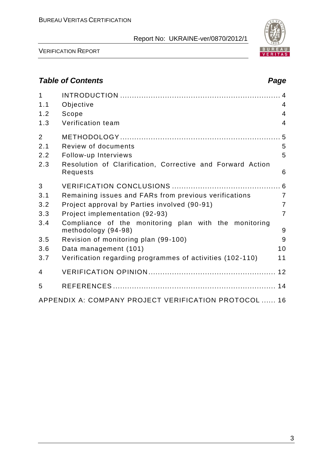

VERIFICATION REPORT

## *Table of Contents Page*

| $\mathbf{1}$<br>1.1 | Objective                                                                    | $\overline{4}$ |
|---------------------|------------------------------------------------------------------------------|----------------|
| 1.2                 | Scope                                                                        | $\overline{4}$ |
| 1.3                 | Verification team                                                            | $\overline{4}$ |
| $\overline{2}$      |                                                                              |                |
| 2.1                 | <b>Review of documents</b>                                                   | 5              |
| 2.2                 | Follow-up Interviews                                                         | 5              |
| 2.3                 | Resolution of Clarification, Corrective and Forward Action<br>Requests       | 6              |
| 3                   |                                                                              |                |
| 3.1                 | Remaining issues and FARs from previous verifications                        | $\overline{7}$ |
| 3.2                 | Project approval by Parties involved (90-91)                                 | $\overline{7}$ |
| 3.3                 | Project implementation (92-93)                                               | $\overline{7}$ |
| 3.4                 | Compliance of the monitoring plan with the monitoring<br>methodology (94-98) | 9              |
| 3.5                 | Revision of monitoring plan (99-100)                                         | 9              |
| 3.6                 | Data management (101)                                                        | 10             |
| 3.7                 | Verification regarding programmes of activities (102-110)                    | 11             |
| 4                   |                                                                              |                |
| 5                   |                                                                              |                |
|                     | APPENDIX A: COMPANY PROJECT VERIFICATION PROTOCOL  16                        |                |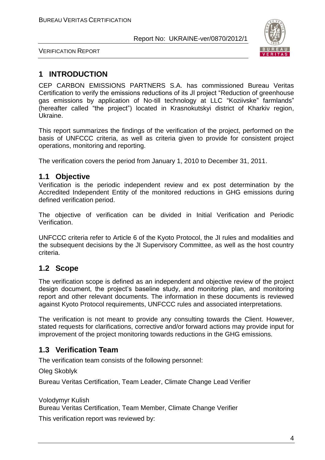

VERIFICATION REPORT

## **1 INTRODUCTION**

CEP CARBON EMISSIONS PARTNERS S.A. has commissioned Bureau Veritas Certification to verify the emissions reductions of its JI project "Reduction of greenhouse gas emissions by application of No-till technology at LLC "Koziivske" farmlands" (hereafter called "the project") located in Krasnokutskyi district of Kharkiv region, Ukraine.

This report summarizes the findings of the verification of the project, performed on the basis of UNFCCC criteria, as well as criteria given to provide for consistent project operations, monitoring and reporting.

The verification covers the period from January 1, 2010 to December 31, 2011.

#### **1.1 Objective**

Verification is the periodic independent review and ex post determination by the Accredited Independent Entity of the monitored reductions in GHG emissions during defined verification period.

The objective of verification can be divided in Initial Verification and Periodic Verification.

UNFCCC criteria refer to Article 6 of the Kyoto Protocol, the JI rules and modalities and the subsequent decisions by the JI Supervisory Committee, as well as the host country criteria.

## **1.2 Scope**

The verification scope is defined as an independent and objective review of the project design document, the project's baseline study, and monitoring plan, and monitoring report and other relevant documents. The information in these documents is reviewed against Kyoto Protocol requirements, UNFCCC rules and associated interpretations.

The verification is not meant to provide any consulting towards the Client. However, stated requests for clarifications, corrective and/or forward actions may provide input for improvement of the project monitoring towards reductions in the GHG emissions.

## **1.3 Verification Team**

The verification team consists of the following personnel:

Oleg Skoblyk

Bureau Veritas Certification, Team Leader, Climate Change Lead Verifier

Volodymyr Kulish Bureau Veritas Certification, Team Member, Climate Change Verifier

This verification report was reviewed by: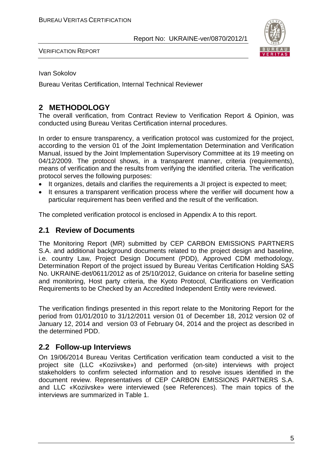

VERIFICATION REPORT

Ivan Sokolov

Bureau Veritas Certification, Internal Technical Reviewer

## **2 METHODOLOGY**

The overall verification, from Contract Review to Verification Report & Opinion, was conducted using Bureau Veritas Certification internal procedures.

In order to ensure transparency, a verification protocol was customized for the project, according to the version 01 of the Joint Implementation Determination and Verification Manual, issued by the Joint Implementation Supervisory Committee at its 19 meeting on 04/12/2009. The protocol shows, in a transparent manner, criteria (requirements), means of verification and the results from verifying the identified criteria. The verification protocol serves the following purposes:

- It organizes, details and clarifies the requirements a JI project is expected to meet;
- It ensures a transparent verification process where the verifier will document how a particular requirement has been verified and the result of the verification.

The completed verification protocol is enclosed in Appendix A to this report.

#### **2.1 Review of Documents**

The Monitoring Report (MR) submitted by CEP CARBON EMISSIONS PARTNERS S.A. and additional background documents related to the project design and baseline, i.e. country Law, Project Design Document (PDD), Approved CDM methodology, Determination Report of the project issued by Bureau Veritas Certification Holding SAS No. UKRAINE-det/0611/2012 as of 25/10/2012, Guidance on criteria for baseline setting and monitoring, Host party criteria, the Kyoto Protocol, Clarifications on Verification Requirements to be Checked by an Accredited Independent Entity were reviewed.

The verification findings presented in this report relate to the Monitoring Report for the period from 01/01/2010 to 31/12/2011 version 01 of December 18, 2012 version 02 of January 12, 2014 and version 03 of February 04, 2014 and the project as described in the determined PDD.

#### **2.2 Follow-up Interviews**

On 19/06/2014 Bureau Veritas Certification verification team conducted a visit to the project site (LLC «Koziivske») and performed (on-site) interviews with project stakeholders to confirm selected information and to resolve issues identified in the document review. Representatives of CEP CARBON EMISSIONS PARTNERS S.A. and LLC «Koziivske» were interviewed (see References). The main topics of the interviews are summarized in Table 1.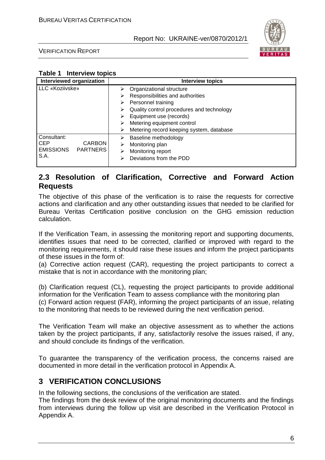

VERIFICATION REPORT

#### **Table 1 Interview topics**

| Interviewed organization            | Interview topics                               |
|-------------------------------------|------------------------------------------------|
| LLC «Koziivske»                     | Organizational structure<br>➤                  |
|                                     | Responsibilities and authorities<br>⋗          |
|                                     | Personnel training<br>➤                        |
|                                     | Quality control procedures and technology<br>⋗ |
|                                     | Equipment use (records)                        |
|                                     | Metering equipment control<br>⋗                |
|                                     | Metering record keeping system, database<br>➤  |
| Consultant:                         | Baseline methodology<br>⋗                      |
| <b>CEP</b><br><b>CARBON</b>         | Monitoring plan<br>⋗                           |
| <b>EMISSIONS</b><br><b>PARTNERS</b> | Monitoring report<br>⋗                         |
| S.A.                                | Deviations from the PDD<br>⋗                   |
|                                     |                                                |

### **2.3 Resolution of Clarification, Corrective and Forward Action Requests**

The objective of this phase of the verification is to raise the requests for corrective actions and clarification and any other outstanding issues that needed to be clarified for Bureau Veritas Certification positive conclusion on the GHG emission reduction calculation.

If the Verification Team, in assessing the monitoring report and supporting documents, identifies issues that need to be corrected, clarified or improved with regard to the monitoring requirements, it should raise these issues and inform the project participants of these issues in the form of:

(a) Corrective action request (CAR), requesting the project participants to correct a mistake that is not in accordance with the monitoring plan;

(b) Clarification request (CL), requesting the project participants to provide additional information for the Verification Team to assess compliance with the monitoring plan (c) Forward action request (FAR), informing the project participants of an issue, relating to the monitoring that needs to be reviewed during the next verification period.

The Verification Team will make an objective assessment as to whether the actions taken by the project participants, if any, satisfactorily resolve the issues raised, if any, and should conclude its findings of the verification.

To guarantee the transparency of the verification process, the concerns raised are documented in more detail in the verification protocol in Appendix A.

## **3 VERIFICATION CONCLUSIONS**

In the following sections, the conclusions of the verification are stated.

The findings from the desk review of the original monitoring documents and the findings from interviews during the follow up visit are described in the Verification Protocol in Appendix A.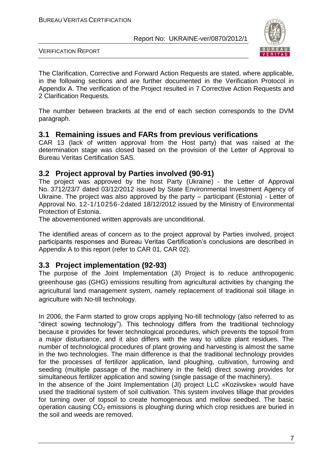

VERIFICATION REPORT

The Clarification, Corrective and Forward Action Requests are stated, where applicable, in the following sections and are further documented in the Verification Protocol in Appendix A. The verification of the Project resulted in 7 Corrective Action Requests and 2 Clarification Requests.

The number between brackets at the end of each section corresponds to the DVM paragraph.

#### **3.1 Remaining issues and FARs from previous verifications**

CAR 13 (lack of written approval from the Host party) that was raised at the determination stage was closed based on the provision of the Letter of Approval to Bureau Veritas Certification SAS.

#### **3.2 Project approval by Parties involved (90-91)**

The project was approved by the host Party (Ukraine) - the Letter of Approval No. 3712/23/7 dated 03/12/2012 issued by State Environmental Investment Agency of Ukraine. The project was also approved by the party – participant (Estonia) - Letter of Approval No. 12-1/10256-2dated 18/12/2012 issued by the Ministry of Environmental Protection of Estonia.

The abovementioned written approvals are unconditional.

The identified areas of concern as to the project approval by Parties involved, project participants responses and Bureau Veritas Certification's conclusions are described in Appendix A to this report (refer to CAR 01, CAR 02).

#### **3.3 Project implementation (92-93)**

The purpose of the Joint Implementation (JI) Project is to reduce anthropogenic greenhouse gas (GHG) emissions resulting from agricultural activities by changing the agricultural land management system, namely replacement of traditional soil tillage in agriculture with No-till technology.

In 2006, the Farm started to grow crops applying No-till technology (also referred to as "direct sowing technology"). This technology differs from the traditional technology because it provides for fewer technological procedures, which prevents the topsoil from a major disturbance, and it also differs with the way to utilize plant residues. The number of technological procedures of plant growing and harvesting is almost the same in the two technologies. The main difference is that the traditional technology provides for the processes of fertilizer application, land ploughing, cultivation, furrowing and seeding (multiple passage of the machinery in the field) direct sowing provides for simultaneous fertilizer application and sowing (single passage of the machinery).

In the absence of the Joint Implementation (JI) project LLC «Koziivske» would have used the traditional system of soil cultivation. This system involves tillage that provides for turning over of topsoil to create homogeneous and mellow seedbed. The basic operation causing  $CO<sub>2</sub>$  emissions is ploughing during which crop residues are buried in the soil and weeds are removed.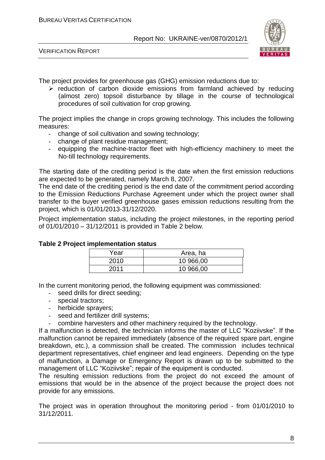

VERIFICATION REPORT

The project provides for greenhouse gas (GHG) emission reductions due to:

 $\triangleright$  reduction of carbon dioxide emissions from farmland achieved by reducing (almost zero) topsoil disturbance by tillage in the course of technological procedures of soil cultivation for crop growing.

The project implies the change in crops growing technology. This includes the following measures:

- change of soil cultivation and sowing technology;
- change of plant residue management;
- equipping the machine-tractor fleet with high-efficiency machinery to meet the No-till technology requirements.

The starting date of the crediting period is the date when the first emission reductions are expected to be generated, namely March 8, 2007.

The end date of the crediting period is the end date of the commitment period according to the Emission Reductions Purchase Agreement under which the project owner shall transfer to the buyer verified greenhouse gases emission reductions resulting from the project, which is 01/01/2013-31/12/2020.

Project implementation status, including the project milestones, in the reporting period of 01/01/2010 – 31/12/2011 is provided in Table 2 below.

| Year | Area, ha  |
|------|-----------|
| 2010 | 10 966,00 |
| 2011 | 10 966,00 |

#### **Table 2 Project implementation status**

In the current monitoring period, the following equipment was commissioned:

- seed drills for direct seeding;
- special tractors;
- herbicide sprayers;
- seed and fertilizer drill systems;
- combine harvesters and other machinery required by the technology.

If a malfunction is detected, the technician informs the master of LLC "Koziivske". If the malfunction cannot be repaired immediately (absence of the required spare part, engine breakdown, etc.), a commission shall be created. The commission includes technical department representatives, chief engineer and lead engineers. Depending on the type of malfunction, a Damage or Emergency Report is drawn up to be submitted to the management of LLC "Koziivske"; repair of the equipment is conducted.

The resulting emission reductions from the project do not exceed the amount of emissions that would be in the absence of the project because the project does not provide for any emissions.

The project was in operation throughout the monitoring period - from 01/01/2010 to 31/12/2011.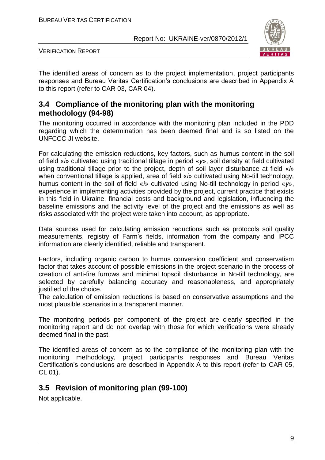

VERIFICATION REPORT

The identified areas of concern as to the project implementation, project participants responses and Bureau Veritas Certification's conclusions are described in Appendix A to this report (refer to CAR 03, CAR 04).

#### **3.4 Compliance of the monitoring plan with the monitoring methodology (94-98)**

The monitoring occurred in accordance with the monitoring plan included in the PDD regarding which the determination has been deemed final and is so listed on the UNFCCC JI website.

For calculating the emission reductions, key factors, such as humus content in the soil of field «*і*» cultivated using traditional tillage in period «*у*», soil density at field cultivated using traditional tillage prior to the project, depth of soil layer disturbance at field «*і*» when conventional tillage is applied, area of field «*і*» cultivated using No-till technology, humus content in the soil of field «*і*» cultivated using No-till technology in period «*у*», experience in implementing activities provided by the project, current practice that exists in this field in Ukraine, financial costs and background and legislation, influencing the baseline emissions and the activity level of the project and the emissions as well as risks associated with the project were taken into account, as appropriate.

Data sources used for calculating emission reductions such as protocols soil quality measurements, registry of Farm's fields, information from the company and IPCC information are clearly identified, reliable and transparent.

Factors, including organic carbon to humus conversion coefficient and conservatism factor that takes account of possible emissions in the project scenario in the process of creation of anti-fire furrows and minimal topsoil disturbance in No-till technology, are selected by carefully balancing accuracy and reasonableness, and appropriately justified of the choice.

The calculation of emission reductions is based on conservative assumptions and the most plausible scenarios in a transparent manner.

The monitoring periods per component of the project are clearly specified in the monitoring report and do not overlap with those for which verifications were already deemed final in the past.

The identified areas of concern as to the compliance of the monitoring plan with the monitoring methodology, project participants responses and Bureau Veritas Certification's conclusions are described in Appendix A to this report (refer to CAR 05, CL 01).

## **3.5 Revision of monitoring plan (99-100)**

Not applicable.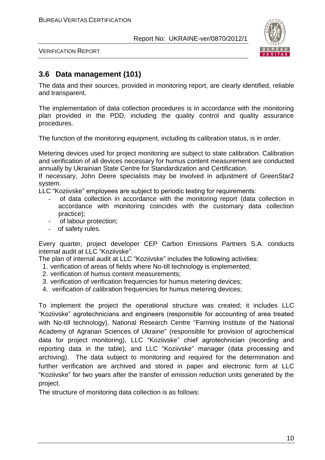

VERIFICATION REPORT

## **3.6 Data management (101)**

The data and their sources, provided in monitoring report, are clearly identified, reliable and transparent.

The implementation of data collection procedures is in accordance with the monitoring plan provided in the PDD, including the quality control and quality assurance procedures.

The function of the monitoring equipment, including its calibration status, is in order.

Metering devices used for project monitoring are subject to state calibration. Calibration and verification of all devices necessary for humus content measurement are conducted annually by Ukrainian State Centre for Standardization and Certification.

If necessary, John Deere specialists may be involved in adjustment of GreenStar2 system.

LLC "Koziivske" employees are subject to periodic testing for requirements:

- of data collection in accordance with the monitoring report (data collection in accordance with monitoring coincides with the customary data collection practice);
- of labour protection;
- of safety rules.

Every quarter, project developer CEP Carbon Emissions Partners S.A. conducts internal audit at LLC "Koziivske".

The plan of internal audit at LLC "Koziivske" includes the following activities:

- 1. verification of areas of fields where No-till technology is implemented;
- 2. verification of humus content measurements;
- 3. verification of verification frequencies for humus metering devices;
- 4. verification of calibration frequencies for humus metering devices;

To implement the project the operational structure was created; it includes LLC "Koziivske" agrotechnicians and engineers (responsible for accounting of area treated with No-till technology), National Research Centre "Farming Institute of the National Academy of Agrarian Sciences of Ukraine" (responsible for provision of agrochemical data for project monitoring), LLC "Koziivske" chief agrotechnician (recording and reporting data in the table), and LLC "Koziivske" manager (data processing and archiving). The data subject to monitoring and required for the determination and further verification are archived and stored in paper and electronic form at LLC "Koziivske" for two years after the transfer of emission reduction units generated by the project.

The structure of monitoring data collection is as follows: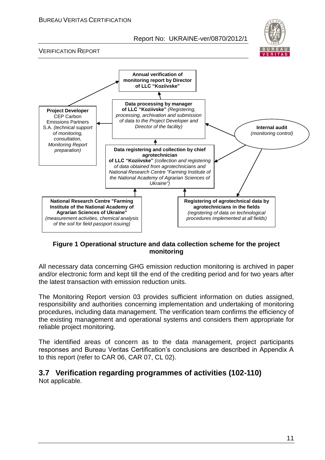

VERIFICATION REPORT



#### **Figure 1 Operational structure and data collection scheme for the project monitoring**

All necessary data concerning GHG emission reduction monitoring is archived in paper and/or electronic form and kept till the end of the crediting period and for two years after the latest transaction with emission reduction units.

The Monitoring Report version 03 provides sufficient information on duties assigned, responsibility and authorities concerning implementation and undertaking of monitoring procedures, including data management. The verification team confirms the efficiency of the existing management and operational systems and considers them appropriate for reliable project monitoring.

The identified areas of concern as to the data management, project participants responses and Bureau Veritas Certification's conclusions are described in Appendix A to this report (refer to CAR 06, CAR 07, CL 02).

## **3.7 Verification regarding programmes of activities (102-110)**

Not applicable.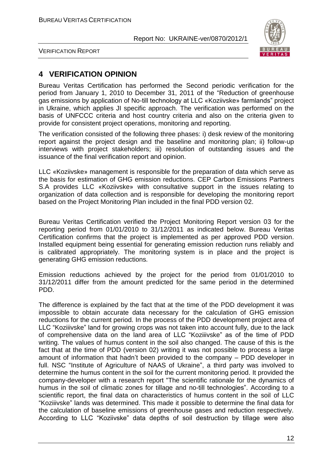

VERIFICATION REPORT

## **4 VERIFICATION OPINION**

Bureau Veritas Certification has performed the Second periodic verification for the period from January 1, 2010 to December 31, 2011 of the "Reduction of greenhouse gas emissions by application of No-till technology at LLC «Koziivske» farmlands" project in Ukraine, which applies JI specific approach. The verification was performed on the basis of UNFCCC criteria and host country criteria and also on the criteria given to provide for consistent project operations, monitoring and reporting.

The verification consisted of the following three phases: i) desk review of the monitoring report against the project design and the baseline and monitoring plan; ii) follow-up interviews with project stakeholders; iii) resolution of outstanding issues and the issuance of the final verification report and opinion.

LLC «Koziivske» management is responsible for the preparation of data which serve as the basis for estimation of GHG emission reductions. CEP Carbon Emissions Partners S.A provides LLC «Koziivske» with consultative support in the issues relating to organization of data collection and is responsible for developing the monitoring report based on the Project Monitoring Plan included in the final PDD version 02.

Bureau Veritas Certification verified the Project Monitoring Report version 03 for the reporting period from 01/01/2010 to 31/12/2011 as indicated below. Bureau Veritas Certification confirms that the project is implemented as per approved PDD version. Installed equipment being essential for generating emission reduction runs reliably and is calibrated appropriately. The monitoring system is in place and the project is generating GHG emission reductions.

Emission reductions achieved by the project for the period from 01/01/2010 to 31/12/2011 differ from the amount predicted for the same period in the determined PDD.

The difference is explained by the fact that at the time of the PDD development it was impossible to obtain accurate data necessary for the calculation of GHG emission reductions for the current period. In the process of the PDD development project area of LLC "Koziiivske" land for growing crops was not taken into account fully, due to the lack of comprehensive data on the land area of LLC "Koziiivske" as of the time of PDD writing. The values of humus content in the soil also changed. The cause of this is the fact that at the time of PDD (version 02) writing it was not possible to process a large amount of information that hadn't been provided to the company – PDD developer in full. NSC "Institute of Agriculture of NAAS of Ukraine", a third party was involved to determine the humus content in the soil for the current monitoring period. It provided the company-developer with a research report "The scientific rationale for the dynamics of humus in the soil of climatic zones for tillage and no-till technologies". According to a scientific report, the final data on characteristics of humus content in the soil of LLC "Koziiivske" lands was determined. This made it possible to determine the final data for the calculation of baseline emissions of greenhouse gases and reduction respectively. According to LLC "Koziivske" data depths of soil destruction by tillage were also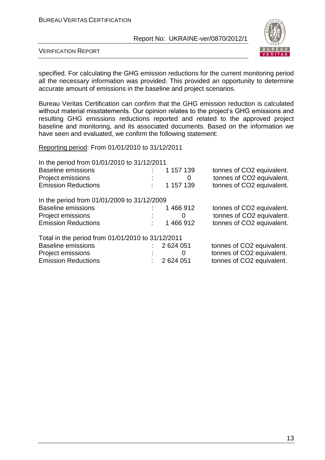

VERIFICATION REPORT

specified. For calculating the GHG emission reductions for the current monitoring period all the necessary information was provided. This provided an opportunity to determine accurate amount of emissions in the baseline and project scenarios.

Bureau Veritas Certification can confirm that the GHG emission reduction is calculated without material misstatements. Our opinion relates to the project's GHG emissions and resulting GHG emissions reductions reported and related to the approved project baseline and monitoring, and its associated documents. Based on the information we have seen and evaluated, we confirm the following statement:

Reporting period: From 01/01/2010 to 31/12/2011

| In the period from 01/01/2010 to 31/12/2011       |           |                           |
|---------------------------------------------------|-----------|---------------------------|
| <b>Baseline emissions</b>                         | 1 157 139 | tonnes of CO2 equivalent. |
| Project emissions                                 | 0         | tonnes of CO2 equivalent. |
| <b>Emission Reductions</b>                        | 1 157 139 | tonnes of CO2 equivalent. |
| In the period from 01/01/2009 to 31/12/2009       |           |                           |
| <b>Baseline emissions</b>                         | 1466912   | tonnes of CO2 equivalent. |
| Project emissions                                 | $\Omega$  | tonnes of CO2 equivalent. |
| <b>Emission Reductions</b>                        | 1466912   | tonnes of CO2 equivalent. |
| Total in the period from 01/01/2010 to 31/12/2011 |           |                           |
| <b>Baseline emissions</b>                         | 2624051   | tonnes of CO2 equivalent. |
| Project emissions                                 | $\Omega$  | tonnes of CO2 equivalent. |
| <b>Emission Reductions</b>                        | 2 624 051 | tonnes of CO2 equivalent. |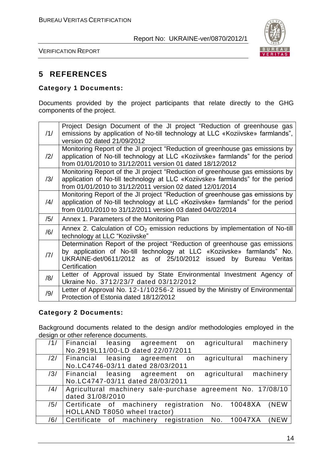

VERIFICATION REPORT

## **5 REFERENCES**

#### **Category 1 Documents:**

Documents provided by the project participants that relate directly to the GHG components of the project.

| /1/            | Project Design Document of the JI project "Reduction of greenhouse gas<br>emissions by application of No-till technology at LLC «Koziivske» farmlands", |
|----------------|---------------------------------------------------------------------------------------------------------------------------------------------------------|
|                | version 02 dated 21/09/2012                                                                                                                             |
|                | Monitoring Report of the JI project "Reduction of greenhouse gas emissions by                                                                           |
| $\frac{12}{1}$ | application of No-till technology at LLC «Koziivske» farmlands" for the period                                                                          |
|                | from 01/01/2010 to 31/12/2011 version 01 dated 18/12/2012                                                                                               |
|                | Monitoring Report of the JI project "Reduction of greenhouse gas emissions by                                                                           |
| /3/            | application of No-till technology at LLC «Koziivske» farmlands" for the period                                                                          |
|                | from 01/01/2010 to 31/12/2011 version 02 dated 12/01/2014                                                                                               |
|                | Monitoring Report of the JI project "Reduction of greenhouse gas emissions by                                                                           |
| /4/            | application of No-till technology at LLC «Koziivske» farmlands" for the period                                                                          |
|                | from 01/01/2010 to 31/12/2011 version 03 dated 04/02/2014                                                                                               |
| /5/            | Annex 1. Parameters of the Monitoring Plan                                                                                                              |
| /6/            | Annex 2. Calculation of $CO2$ emission reductions by implementation of No-till                                                                          |
|                | technology at LLC "Koziivske"                                                                                                                           |
|                | Determination Report of the project "Reduction of greenhouse gas emissions                                                                              |
| 7              | by application of No-till technology at LLC «Koziivske» farmlands" No.                                                                                  |
|                | UKRAINE-det/0611/2012 as of 25/10/2012 issued by<br>Bureau Veritas                                                                                      |
|                | Certification                                                                                                                                           |
| /8/            | Letter of Approval issued by State Environmental Investment Agency of                                                                                   |
|                | Ukraine No. 3712/23/7 dated 03/12/2012                                                                                                                  |
| /9/            | Letter of Approval No. 12-1/10256-2 issued by the Ministry of Environmental                                                                             |
|                | Protection of Estonia dated 18/12/2012                                                                                                                  |

#### **Category 2 Documents:**

Background documents related to the design and/or methodologies employed in the design or other reference documents.

| /1/ | agricultural machinery<br>Financial leasing agreement on    |
|-----|-------------------------------------------------------------|
|     | No.2919L11/00-LD dated 22/07/2011                           |
| /2/ | agricultural machinery<br>Financial leasing agreement<br>on |
|     | No.LC4746-03/11 dated 28/03/2011                            |
| /3/ | agricultural machinery<br>Financial leasing agreement<br>on |
|     | No.LC4747-03/11 dated 28/03/2011                            |
| /4/ | Agricultural machinery sale-purchase agreement No. 17/08/10 |
|     | dated 31/08/2010                                            |
| /5/ | Certificate of machinery registration No. 10048XA (NEW      |
|     | HOLLAND T8050 wheel tractor)                                |
| /6/ | Certificate of machinery registration No. 10047XA<br>(NEW   |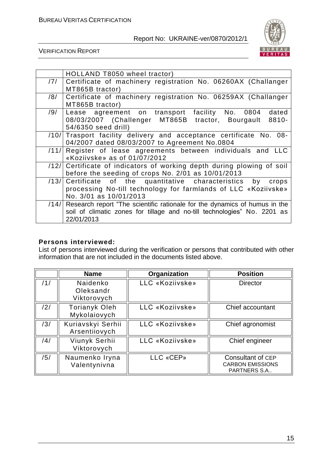

VERIFICATION REPORT

|      | HOLLAND T8050 wheel tractor)                                                    |
|------|---------------------------------------------------------------------------------|
| /7/  | Certificate of machinery registration No. 06260AX (Challanger                   |
|      | MT865B tractor)                                                                 |
| /8/  | Certificate of machinery registration No. 06259AX (Challanger                   |
|      | MT865B tractor)                                                                 |
| /9/  | Lease agreement on transport facility No. 0804<br>dated                         |
|      | 08/03/2007 (Challenger MT865B tractor, Bourgault<br>8810-                       |
|      | 54/6350 seed drill)                                                             |
| /10/ | Trasport facility delivery and acceptance certificate No. 08-                   |
|      | 04/2007 dated 08/03/2007 to Agreement No.0804                                   |
| /11/ | Register of lease agreements between individuals and LLC                        |
|      | «Koziivske» as of 01/07/2012                                                    |
| /12/ | Certificate of indicators of working depth during plowing of soil               |
|      | before the seeding of crops No. 2/01 as 10/01/2013                              |
| /13/ | Certificate of the quantitative characteristics by crops                        |
|      | processing No-till technology for farmlands of LLC «Koziivske»                  |
|      | No. 3/01 as 10/01/2013                                                          |
|      | /14/ Research report "The scientific rationale for the dynamics of humus in the |
|      | soil of climatic zones for tillage and no-till technologies" No. 2201 as        |
|      | 22/01/2013                                                                      |

#### **Persons interviewed:**

List of persons interviewed during the verification or persons that contributed with other information that are not included in the documents listed above.

|     | <b>Name</b>                          | Organization    | <b>Position</b>                                                     |
|-----|--------------------------------------|-----------------|---------------------------------------------------------------------|
| /1/ | Naidenko<br>Oleksandr<br>Viktorovych | LLC «Koziivske» | <b>Director</b>                                                     |
| /2/ | <b>Torianyk Oleh</b><br>Mykolaiovych | LLC «Koziivske» | Chief accountant                                                    |
| /3/ | Kuriavskyi Serhii<br>Arsentiiovych   | LLC «Koziivske» | Chief agronomist                                                    |
| /4/ | Viunyk Serhii<br>Viktorovych         | LLC «Koziivske» | Chief engineer                                                      |
| /5/ | Naumenko Iryna<br>Valentynivna       | LLC «CEP»       | Consultant of CEP<br><b>CARBON EMISSIONS</b><br><b>PARTNERS S.A</b> |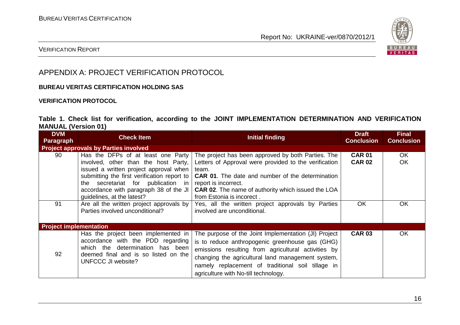

#### VERIFICATION REPORT

## APPENDIX A: PROJECT VERIFICATION PROTOCOL

#### **BUREAU VERITAS CERTIFICATION HOLDING SAS**

#### **VERIFICATION PROTOCOL**

#### **Table 1. Check list for verification, according to the JOINT IMPLEMENTATION DETERMINATION AND VERIFICATION MANUAL (Version 01)**

| <b>DVM</b><br>Paragraph                      | <b>Check Item</b>                                                                                                                                                                                                                                                                                         | Initial finding                                                                                                                                                                                                                                                                                                  | <b>Draft</b><br><b>Conclusion</b> | <b>Final</b><br><b>Conclusion</b> |
|----------------------------------------------|-----------------------------------------------------------------------------------------------------------------------------------------------------------------------------------------------------------------------------------------------------------------------------------------------------------|------------------------------------------------------------------------------------------------------------------------------------------------------------------------------------------------------------------------------------------------------------------------------------------------------------------|-----------------------------------|-----------------------------------|
| <b>Project approvals by Parties involved</b> |                                                                                                                                                                                                                                                                                                           |                                                                                                                                                                                                                                                                                                                  |                                   |                                   |
| 90                                           | Has the DFPs of at least one Party<br>involved, other than the host Party,<br>issued a written project approval when<br>submitting the first verification report to<br>secretariat for publication in report is incorrect.<br>the<br>accordance with paragraph 38 of the JI<br>guidelines, at the latest? | The project has been approved by both Parties. The<br>Letters of Approval were provided to the verification<br>team.<br><b>CAR 01.</b> The date and number of the determination<br><b>CAR 02.</b> The name of authority which issued the LOA<br>from Estonia is incorect.                                        | <b>CAR 01</b><br><b>CAR 02</b>    | OK.<br><b>OK</b>                  |
| 91                                           | Are all the written project approvals by<br>Parties involved unconditional?                                                                                                                                                                                                                               | Yes, all the written project approvals by Parties<br>involved are unconditional.                                                                                                                                                                                                                                 | OK                                | OK                                |
| <b>Project implementation</b>                |                                                                                                                                                                                                                                                                                                           |                                                                                                                                                                                                                                                                                                                  |                                   |                                   |
| 92                                           | Has the project been implemented in<br>accordance with the PDD regarding<br>which the determination has been<br>deemed final and is so listed on the<br>UNFCCC JI website?                                                                                                                                | The purpose of the Joint Implementation (JI) Project<br>is to reduce anthropogenic greenhouse gas (GHG)<br>emissions resulting from agricultural activities by<br>changing the agricultural land management system,<br>namely replacement of traditional soil tillage in<br>agriculture with No-till technology. | <b>CAR 03</b>                     | OK.                               |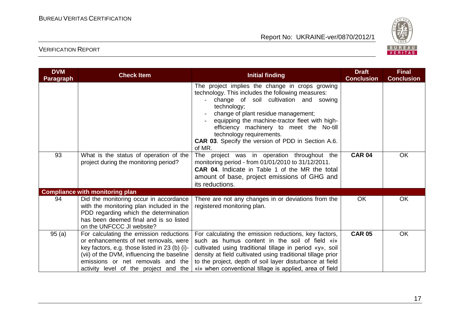

| <b>DVM</b><br><b>Paragraph</b> | <b>Check Item</b>                                                                                                                                                                                                                                             | <b>Initial finding</b>                                                                                                                                                                                                                                                                                                                                                                        | <b>Draft</b><br><b>Conclusion</b> | <b>Final</b><br><b>Conclusion</b> |
|--------------------------------|---------------------------------------------------------------------------------------------------------------------------------------------------------------------------------------------------------------------------------------------------------------|-----------------------------------------------------------------------------------------------------------------------------------------------------------------------------------------------------------------------------------------------------------------------------------------------------------------------------------------------------------------------------------------------|-----------------------------------|-----------------------------------|
|                                |                                                                                                                                                                                                                                                               | The project implies the change in crops growing<br>technology. This includes the following measures:<br>change of soil cultivation and sowing<br>technology;<br>change of plant residue management;<br>equipping the machine-tractor fleet with high-<br>efficiency machinery to meet the No-till<br>technology requirements.<br>CAR 03. Specify the version of PDD in Section A.6.<br>of MR. |                                   |                                   |
| 93                             | What is the status of operation of the<br>project during the monitoring period?                                                                                                                                                                               | The project was in operation throughout the<br>monitoring period - from 01/01/2010 to 31/12/2011.<br><b>CAR 04.</b> Indicate in Table 1 of the MR the total<br>amount of base, project emissions of GHG and<br>its reductions.                                                                                                                                                                | <b>CAR 04</b>                     | <b>OK</b>                         |
|                                | <b>Compliance with monitoring plan</b>                                                                                                                                                                                                                        |                                                                                                                                                                                                                                                                                                                                                                                               |                                   |                                   |
| 94                             | Did the monitoring occur in accordance<br>with the monitoring plan included in the<br>PDD regarding which the determination<br>has been deemed final and is so listed<br>on the UNFCCC JI website?                                                            | There are not any changes in or deviations from the<br>registered monitoring plan.                                                                                                                                                                                                                                                                                                            | <b>OK</b>                         | <b>OK</b>                         |
| 95(a)                          | For calculating the emission reductions<br>or enhancements of net removals, were<br>key factors, e.g. those listed in 23 (b) (i)-<br>(vii) of the DVM, influencing the baseline<br>emissions or net removals and the<br>activity level of the project and the | For calculating the emission reductions, key factors,<br>such as humus content in the soil of field «i»<br>cultivated using traditional tillage in period «y», soil<br>density at field cultivated using traditional tillage prior<br>to the project, depth of soil layer disturbance at field<br>«i» when conventional tillage is applied, area of field                                     | <b>CAR 05</b>                     | <b>OK</b>                         |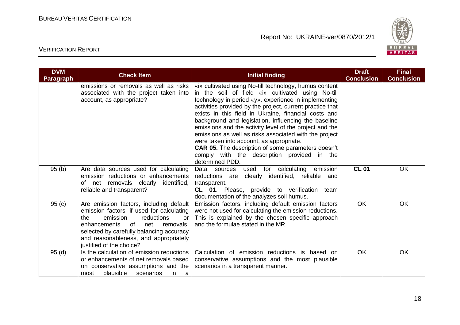

| <b>DVM</b><br><b>Paragraph</b> | <b>Check Item</b>                                                                                                                                                                                                                                                                      | <b>Initial finding</b>                                                                                                                                                                                                                                                                                                                                                                                                                                                                                                                                                                                                                           | <b>Draft</b><br><b>Conclusion</b> | <b>Final</b><br><b>Conclusion</b> |
|--------------------------------|----------------------------------------------------------------------------------------------------------------------------------------------------------------------------------------------------------------------------------------------------------------------------------------|--------------------------------------------------------------------------------------------------------------------------------------------------------------------------------------------------------------------------------------------------------------------------------------------------------------------------------------------------------------------------------------------------------------------------------------------------------------------------------------------------------------------------------------------------------------------------------------------------------------------------------------------------|-----------------------------------|-----------------------------------|
|                                | emissions or removals as well as risks<br>associated with the project taken into<br>account, as appropriate?                                                                                                                                                                           | «i» cultivated using No-till technology, humus content<br>in the soil of field «i» cultivated using No-till<br>technology in period «y», experience in implementing<br>activities provided by the project, current practice that<br>exists in this field in Ukraine, financial costs and<br>background and legislation, influencing the baseline<br>emissions and the activity level of the project and the<br>emissions as well as risks associated with the project<br>were taken into account, as appropriate.<br><b>CAR 05.</b> The description of some parameters doesn't<br>comply with the description provided in the<br>determined PDD. |                                   |                                   |
| 95(b)                          | Are data sources used for calculating<br>emission reductions or enhancements<br>of net removals clearly identified,<br>reliable and transparent?                                                                                                                                       | Data sources<br>for calculating<br>emission<br>used<br>reductions are<br>clearly identified, reliable and<br>transparent.<br>CL 01. Please, provide to verification team<br>documentation of the analyzes soil humus.                                                                                                                                                                                                                                                                                                                                                                                                                            | <b>CL 01</b>                      | <b>OK</b>                         |
| 95(c)                          | Are emission factors, including default<br>emission factors, if used for calculating<br>emission<br>reductions<br>the<br>or<br>of<br>net<br>enhancements<br>removals,<br>selected by carefully balancing accuracy<br>and reasonableness, and appropriately<br>justified of the choice? | Emission factors, including default emission factors<br>were not used for calculating the emission reductions.<br>This is explained by the chosen specific approach<br>and the formulae stated in the MR.                                                                                                                                                                                                                                                                                                                                                                                                                                        | <b>OK</b>                         | <b>OK</b>                         |
| 95(d)                          | Is the calculation of emission reductions<br>or enhancements of net removals based<br>on conservative assumptions and the<br>plausible<br>scenarios<br>most<br>in.<br>a                                                                                                                | Calculation of emission reductions is based on<br>conservative assumptions and the most plausible<br>scenarios in a transparent manner.                                                                                                                                                                                                                                                                                                                                                                                                                                                                                                          | OK                                | <b>OK</b>                         |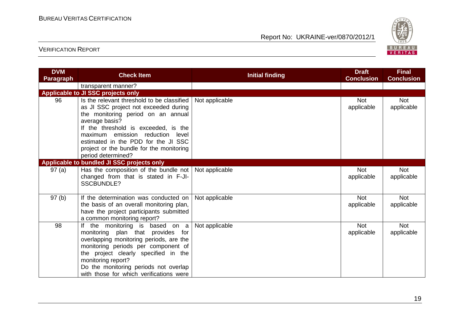

| <b>DVM</b><br><b>Paragraph</b> | <b>Check Item</b>                                                                                                                                                                                                                                                                                                                | <b>Initial finding</b> | <b>Draft</b><br><b>Conclusion</b> | <b>Final</b><br><b>Conclusion</b> |
|--------------------------------|----------------------------------------------------------------------------------------------------------------------------------------------------------------------------------------------------------------------------------------------------------------------------------------------------------------------------------|------------------------|-----------------------------------|-----------------------------------|
|                                | transparent manner?                                                                                                                                                                                                                                                                                                              |                        |                                   |                                   |
|                                | Applicable to JI SSC projects only                                                                                                                                                                                                                                                                                               |                        |                                   |                                   |
| 96                             | Is the relevant threshold to be classified<br>as JI SSC project not exceeded during<br>the monitoring period on an annual<br>average basis?<br>If the threshold is exceeded, is the<br>maximum emission reduction level<br>estimated in the PDD for the JI SSC<br>project or the bundle for the monitoring<br>period determined? | Not applicable         | <b>Not</b><br>applicable          | <b>Not</b><br>applicable          |
|                                | Applicable to bundled JI SSC projects only                                                                                                                                                                                                                                                                                       |                        |                                   |                                   |
| 97(a)                          | Has the composition of the bundle not   Not applicable<br>changed from that is stated in F-JI-<br><b>SSCBUNDLE?</b>                                                                                                                                                                                                              |                        | <b>Not</b><br>applicable          | <b>Not</b><br>applicable          |
| 97(b)                          | If the determination was conducted on<br>the basis of an overall monitoring plan,<br>have the project participants submitted<br>a common monitoring report?                                                                                                                                                                      | Not applicable         | <b>Not</b><br>applicable          | <b>Not</b><br>applicable          |
| 98                             | If the monitoring is based on a<br>monitoring plan that provides for<br>overlapping monitoring periods, are the<br>monitoring periods per component of<br>the project clearly specified in the<br>monitoring report?<br>Do the monitoring periods not overlap<br>with those for which verifications were                         | Not applicable         | <b>Not</b><br>applicable          | <b>Not</b><br>applicable          |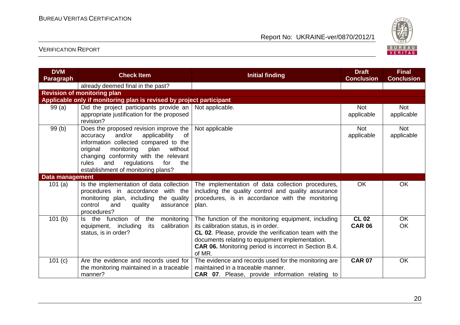

| <b>DVM</b><br><b>Paragraph</b> | <b>Check Item</b>                                                                                                                                                                                                                                                                                     | <b>Initial finding</b>                                                                                                                                                                                                                                                             | <b>Draft</b><br><b>Conclusion</b> | <b>Final</b><br><b>Conclusion</b> |
|--------------------------------|-------------------------------------------------------------------------------------------------------------------------------------------------------------------------------------------------------------------------------------------------------------------------------------------------------|------------------------------------------------------------------------------------------------------------------------------------------------------------------------------------------------------------------------------------------------------------------------------------|-----------------------------------|-----------------------------------|
|                                | already deemed final in the past?                                                                                                                                                                                                                                                                     |                                                                                                                                                                                                                                                                                    |                                   |                                   |
|                                | <b>Revision of monitoring plan</b>                                                                                                                                                                                                                                                                    |                                                                                                                                                                                                                                                                                    |                                   |                                   |
|                                | Applicable only if monitoring plan is revised by project participant                                                                                                                                                                                                                                  |                                                                                                                                                                                                                                                                                    |                                   |                                   |
| 99 (a)                         | Did the project participants provide an<br>appropriate justification for the proposed<br>revision?                                                                                                                                                                                                    | Not applicable.                                                                                                                                                                                                                                                                    | <b>Not</b><br>applicable          | <b>Not</b><br>applicable          |
| 99(b)                          | Does the proposed revision improve the<br>and/or<br>applicability<br>of<br>accuracy<br>information collected compared to the<br>without<br>original<br>monitoring<br>plan<br>changing conformity with the relevant<br>rules<br>and<br>regulations<br>for<br>the<br>establishment of monitoring plans? | Not applicable                                                                                                                                                                                                                                                                     | <b>Not</b><br>applicable          | <b>Not</b><br>applicable          |
| Data management                |                                                                                                                                                                                                                                                                                                       |                                                                                                                                                                                                                                                                                    |                                   |                                   |
| 101 $(a)$                      | Is the implementation of data collection<br>procedures in accordance with the<br>monitoring plan, including the quality<br>control<br>quality<br>and<br>assurance<br>procedures?                                                                                                                      | The implementation of data collection procedures,<br>including the quality control and quality assurance<br>procedures, is in accordance with the monitoring<br>plan.                                                                                                              | OK                                | <b>OK</b>                         |
| 101(b)                         | Is the function of<br>the<br>monitoring<br>equipment, including<br>its<br>calibration<br>status, is in order?                                                                                                                                                                                         | The function of the monitoring equipment, including<br>its calibration status, is in order.<br>CL 02. Please, provide the verification team with the<br>documents relating to equipment implementation.<br><b>CAR 06.</b> Monitoring period is incorrect in Section B.4.<br>of MR. | <b>CL 02</b><br><b>CAR 06</b>     | <b>OK</b><br><b>OK</b>            |
| 101 $(c)$                      | Are the evidence and records used for<br>the monitoring maintained in a traceable<br>manner?                                                                                                                                                                                                          | The evidence and records used for the monitoring are<br>maintained in a traceable manner.<br><b>CAR 07.</b> Please, provide information relating to                                                                                                                                | <b>CAR 07</b>                     | <b>OK</b>                         |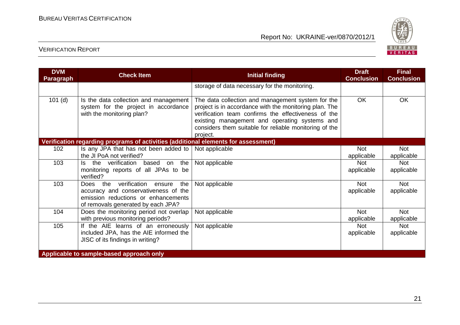

| <b>DVM</b><br>Paragraph                  | <b>Check Item</b>                                                                                                                                        | <b>Initial finding</b>                                                                                                                                                                                                                                                                    | <b>Draft</b><br><b>Conclusion</b> | <b>Final</b><br><b>Conclusion</b> |
|------------------------------------------|----------------------------------------------------------------------------------------------------------------------------------------------------------|-------------------------------------------------------------------------------------------------------------------------------------------------------------------------------------------------------------------------------------------------------------------------------------------|-----------------------------------|-----------------------------------|
|                                          |                                                                                                                                                          | storage of data necessary for the monitoring.                                                                                                                                                                                                                                             |                                   |                                   |
| $101$ (d)                                | Is the data collection and management<br>system for the project in accordance<br>with the monitoring plan?                                               | The data collection and management system for the<br>project is in accordance with the monitoring plan. The<br>verification team confirms the effectiveness of the<br>existing management and operating systems and<br>considers them suitable for reliable monitoring of the<br>project. | <b>OK</b>                         | OK                                |
|                                          | Verification regarding programs of activities (additional elements for assessment)                                                                       |                                                                                                                                                                                                                                                                                           |                                   |                                   |
| 102                                      | Is any JPA that has not been added to<br>the JI PoA not verified?                                                                                        | Not applicable                                                                                                                                                                                                                                                                            | Not<br>applicable                 | <b>Not</b><br>applicable          |
| 103                                      | Is the verification based on the<br>monitoring reports of all JPAs to be<br>verified?                                                                    | Not applicable                                                                                                                                                                                                                                                                            | <b>Not</b><br>applicable          | <b>Not</b><br>applicable          |
| 103                                      | Does the verification ensure<br>the<br>accuracy and conservativeness of the<br>emission reductions or enhancements<br>of removals generated by each JPA? | Not applicable                                                                                                                                                                                                                                                                            | <b>Not</b><br>applicable          | <b>Not</b><br>applicable          |
| 104                                      | Does the monitoring period not overlap<br>with previous monitoring periods?                                                                              | Not applicable                                                                                                                                                                                                                                                                            | <b>Not</b><br>applicable          | <b>Not</b><br>applicable          |
| 105                                      | If the AIE learns of an erroneously<br>included JPA, has the AIE informed the<br>JISC of its findings in writing?                                        | Not applicable                                                                                                                                                                                                                                                                            | <b>Not</b><br>applicable          | <b>Not</b><br>applicable          |
| Applicable to sample-based approach only |                                                                                                                                                          |                                                                                                                                                                                                                                                                                           |                                   |                                   |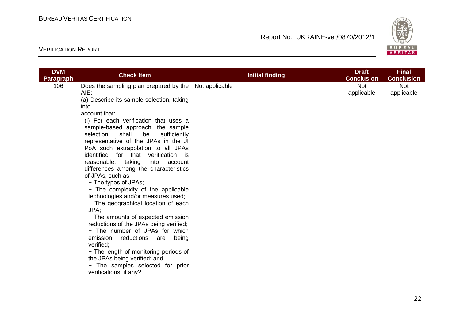

| <b>DVM</b>       |                                                                                                                                                                                                                                                                                                                                                                                                                                                                                       |                        | <b>Draft</b>             | <b>Final</b>             |
|------------------|---------------------------------------------------------------------------------------------------------------------------------------------------------------------------------------------------------------------------------------------------------------------------------------------------------------------------------------------------------------------------------------------------------------------------------------------------------------------------------------|------------------------|--------------------------|--------------------------|
| <b>Paragraph</b> |                                                                                                                                                                                                                                                                                                                                                                                                                                                                                       |                        | <b>Conclusion</b>        | <b>Conclusion</b>        |
| 106              | <b>Check Item</b><br>Does the sampling plan prepared by the   Not applicable<br>AIE:<br>(a) Describe its sample selection, taking<br>into<br>account that:<br>(i) For each verification that uses a<br>sample-based approach, the sample<br>selection<br>shall<br>be<br>sufficiently<br>representative of the JPAs in the JI<br>PoA such extrapolation to all JPAs<br>identified for that verification is<br>reasonable, taking into account<br>differences among the characteristics | <b>Initial finding</b> | <b>Not</b><br>applicable | <b>Not</b><br>applicable |
|                  | of JPAs, such as:<br>- The types of JPAs;<br>- The complexity of the applicable<br>technologies and/or measures used;<br>- The geographical location of each<br>JPA;<br>- The amounts of expected emission<br>reductions of the JPAs being verified;<br>- The number of JPAs for which<br>emission<br>reductions are<br>being<br>verified;<br>- The length of monitoring periods of<br>the JPAs being verified; and<br>- The samples selected for prior<br>verifications, if any?     |                        |                          |                          |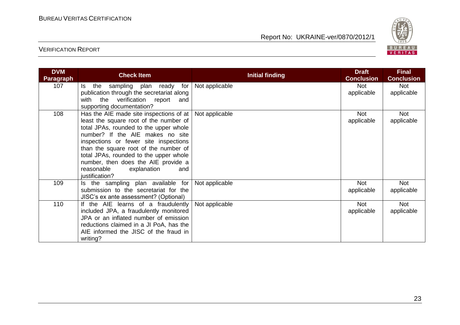

| <b>DVM</b><br><b>Paragraph</b> | <b>Check Item</b>                                                                                                                                                                                                                                                                                                                                                                            | Initial finding | <b>Draft</b><br><b>Conclusion</b> | <b>Final</b><br><b>Conclusion</b> |
|--------------------------------|----------------------------------------------------------------------------------------------------------------------------------------------------------------------------------------------------------------------------------------------------------------------------------------------------------------------------------------------------------------------------------------------|-----------------|-----------------------------------|-----------------------------------|
| 107                            | the<br>sampling plan ready for<br>ls l<br>publication through the secretariat along<br>with the verification report<br>and<br>supporting documentation?                                                                                                                                                                                                                                      | Not applicable  | <b>Not</b><br>applicable          | <b>Not</b><br>applicable          |
| 108                            | Has the AIE made site inspections of at $ $<br>least the square root of the number of<br>total JPAs, rounded to the upper whole<br>number? If the AIE makes no site<br>inspections or fewer site inspections<br>than the square root of the number of<br>total JPAs, rounded to the upper whole<br>number, then does the AIE provide a<br>reasonable<br>explanation<br>and<br>justification? | Not applicable  | <b>Not</b><br>applicable          | <b>Not</b><br>applicable          |
| 109                            | Is the sampling plan available for<br>submission to the secretariat for the<br>JISC's ex ante assessment? (Optional)                                                                                                                                                                                                                                                                         | Not applicable  | <b>Not</b><br>applicable          | Not<br>applicable                 |
| 110                            | If the AIE learns of a fraudulently<br>included JPA, a fraudulently monitored<br>JPA or an inflated number of emission<br>reductions claimed in a JI PoA, has the<br>AIE informed the JISC of the fraud in<br>writing?                                                                                                                                                                       | Not applicable  | <b>Not</b><br>applicable          | Not<br>applicable                 |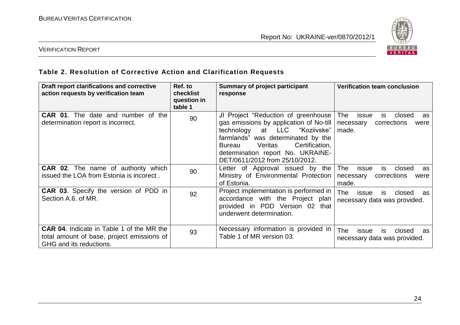

#### VERIFICATION REPORT

#### **Table 2. Resolution of Corrective Action and Clarification Requests**

| Draft report clarifications and corrective<br>action requests by verification team                                        | Ref. to<br>checklist<br>question in<br>table 1 | Summary of project participant<br>response                                                                                                                                                                                                                             | <b>Verification team conclusion</b>                                                           |
|---------------------------------------------------------------------------------------------------------------------------|------------------------------------------------|------------------------------------------------------------------------------------------------------------------------------------------------------------------------------------------------------------------------------------------------------------------------|-----------------------------------------------------------------------------------------------|
| <b>CAR 01.</b> The date and number of the<br>determination report is incorrect.                                           | 90                                             | JI Project "Reduction of greenhouse<br>gas emissions by application of No-till<br>at LLC "Koziivske"<br>technology<br>farmlands" was determinated by the<br>Certification,<br>Veritas<br>Bureau<br>determination report No. UKRAINE-<br>DET/0611/2012 from 25/10/2012. | The<br>issue<br>closed<br>is.<br>as<br>corrections<br>necessary<br>were<br>made.              |
| <b>CAR 02.</b> The name of authority which<br>issued the LOA from Estonia is incorect.                                    | 90                                             | Letter of Approval issued by the<br>Ministry of Environmental Protection<br>of Estonia.                                                                                                                                                                                | issue<br>is<br>closed<br><b>The</b><br><b>as</b><br>corrections<br>necessary<br>were<br>made. |
| <b>CAR 03.</b> Specify the version of PDD in<br>Section A.6. of MR.                                                       | 92                                             | Project implementation is performed in<br>accordance with the Project plan<br>provided in PDD Version 02 that<br>underwent determination.                                                                                                                              | <b>The</b><br>issue<br>closed<br><b>is</b><br>as<br>necessary data was provided.              |
| <b>CAR 04.</b> Indicate in Table 1 of the MR the<br>total amount of base, project emissions of<br>GHG and its reductions. | 93                                             | Necessary information is provided in<br>Table 1 of MR version 03.                                                                                                                                                                                                      | <b>The</b><br>closed<br>issue<br>IS.<br>as.<br>necessary data was provided.                   |